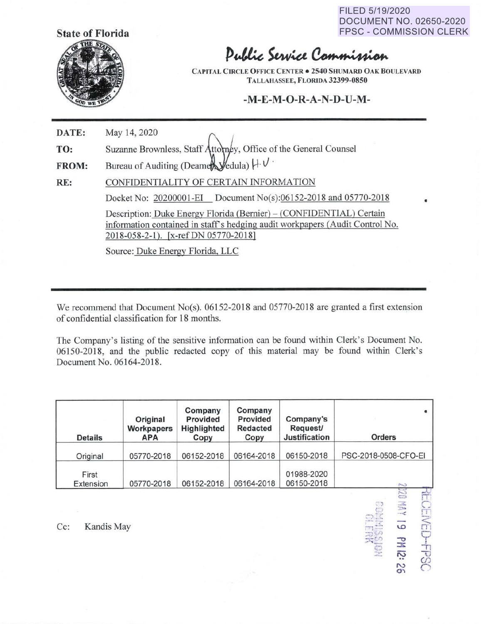**State of Florida** 



FILED 5/19/2020 DOCUMENT NO. 02650-2020 FPSC - COMMISSION CLERK

•

 $\mathcal{D}^{(0)}$ 

 $\frac{1}{2}$   $\frac{1}{2}$   $\frac{1}{2}$   $\frac{1}{2}$ 

 $\tilde{\phantom{a}}$ O'\ **MED-FPS** 

## Public Service Commission

**CAPITAL CIRCLE OFFICE CENTER . 2540 SHUMARD OAK BOULEVARD TALLAHASSEE, FLORIDA 32399-0850** 

## **-M-E-M-O-R-A-N-D-U-M-**

**DATE: TO: FROM: RE:**  May 14, 2020<br>
Suzanne Brownless, Staff Attorney, Office of the General Counsel Bureau of Auditing (Deamer Vedula)  $H \cdot V$ . CONFIDENTIALITY OF CERTAIN INFORMATION Docket No: 20200001-EI Document No(s):06152-2018 and 05770-2018 Description: Duke Energy Florida (Bernier) – (CONFIDENTIAL) Certain information contained in staff's hedging audit workpapers (Audit Control No. 2018-058-2-1). [x-refDN 05770-2018] Source: Duke Energy Florida, LLC

We recommend that Document No(s). 06152-2018 and 05770-2018 are granted a first extension of confidential classification for **18** months.

The Company's listing of the sensitive information can be found within Clerk's Document No. 06150-2018, and the public redacted copy of this material may be found within Clerk's Document No. 06164-2018.

| <b>Details</b>     | Original<br>Workpapers<br><b>APA</b> | Company<br>Provided<br>Highlighted<br>Copy | Company<br>Provided<br><b>Redacted</b><br>Copy | Company's<br><b>Request/</b><br><b>Justification</b> | Orders               |
|--------------------|--------------------------------------|--------------------------------------------|------------------------------------------------|------------------------------------------------------|----------------------|
| Original           | 05770-2018                           | 06152-2018                                 | 06164-2018                                     | 06150-2018                                           | PSC-2018-0508-CFO-EI |
| First<br>Extension | 05770-2018                           | 06152-2018                                 | 06164-2018                                     | 01988-2020<br>06150-2018                             | かい                   |

~·---- Cc: Kandis May . . jlj:.:: u:,